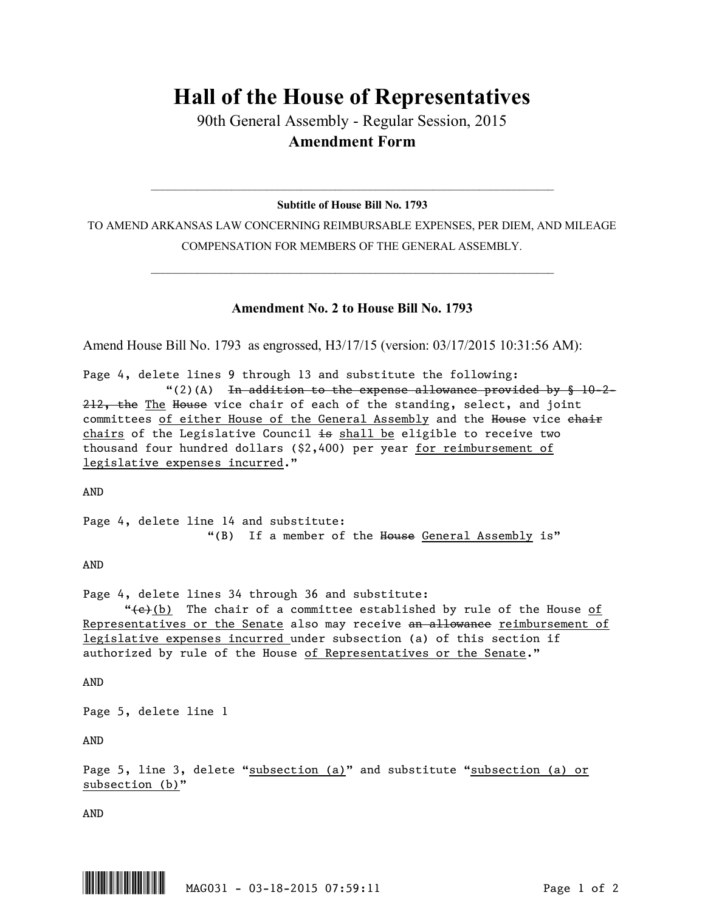## **Hall of the House of Representatives**

90th General Assembly - Regular Session, 2015 **Amendment Form**

## $\_$  , and the set of the set of the set of the set of the set of the set of the set of the set of the set of the set of the set of the set of the set of the set of the set of the set of the set of the set of the set of th **Subtitle of House Bill No. 1793**

TO AMEND ARKANSAS LAW CONCERNING REIMBURSABLE EXPENSES, PER DIEM, AND MILEAGE COMPENSATION FOR MEMBERS OF THE GENERAL ASSEMBLY.

 $\_$  , and the set of the set of the set of the set of the set of the set of the set of the set of the set of the set of the set of the set of the set of the set of the set of the set of the set of the set of the set of th

## **Amendment No. 2 to House Bill No. 1793**

Amend House Bill No. 1793 as engrossed, H3/17/15 (version: 03/17/2015 10:31:56 AM):

Page 4, delete lines 9 through 13 and substitute the following: "(2)(A) In addition to the expense allowance provided by  $§$  10-2-212, the The House vice chair of each of the standing, select, and joint committees of either House of the General Assembly and the House vice chair chairs of the Legislative Council  $\pm$ s shall be eligible to receive two thousand four hundred dollars (\$2,400) per year for reimbursement of legislative expenses incurred."

AND

Page 4, delete line 14 and substitute: "(B) If a member of the House General Assembly is"

AND

Page 4, delete lines 34 through 36 and substitute:

" $\left(\frac{e}{c}\right)$  (b) The chair of a committee established by rule of the House of Representatives or the Senate also may receive an allowance reimbursement of legislative expenses incurred under subsection (a) of this section if authorized by rule of the House of Representatives or the Senate."

AND

Page 5, delete line 1

AND

Page 5, line 3, delete "subsection (a)" and substitute "subsection (a) or subsection (b)"

AND